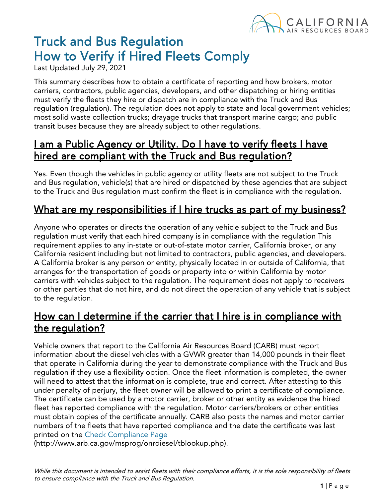

# Truck and Bus Regulation How to Verify if Hired Fleets Comply<br>Last Updated July 29, 2021

This summary describes how to obtain a certificate of reporting and how brokers, motor carriers, contractors, public agencies, developers, and other dispatching or hiring entities must verify the fleets they hire or dispatch are in compliance with the Truck and Bus regulation (regulation). The regulation does not apply to state and local government vehicles; most solid waste collection trucks; drayage trucks that transport marine cargo; and public transit buses because they are already subject to other regulations.

#### I am a Public Agency or Utility. Do I have to verify fleets I have hired are compliant with the Truck and Bus regulation?

Yes. Even though the vehicles in public agency or utility fleets are not subject to the Truck and Bus regulation, vehicle(s) that are hired or dispatched by these agencies that are subject to the Truck and Bus regulation must confirm the fleet is in compliance with the regulation.

#### What are my responsibilities if I hire trucks as part of my business?

Anyone who operates or directs the operation of any vehicle subject to the Truck and Bus regulation must verify that each hired company is in compliance with the regulation This requirement applies to any in-state or out-of-state motor carrier, California broker, or any California resident including but not limited to contractors, public agencies, and developers. A California broker is any person or entity, physically located in or outside of California, that arranges for the transportation of goods or property into or within California by motor carriers with vehicles subject to the regulation. The requirement does not apply to receivers or other parties that do not hire, and do not direct the operation of any vehicle that is subject to the regulation.

#### How can I determine if the carrier that I hire is in compliance with the regulation?

Vehicle owners that report to the California Air Resources Board (CARB) must report information about the diesel vehicles with a GVWR greater than 14,000 pounds in their fleet that operate in California during the year to demonstrate compliance with the Truck and Bus regulation if they use a flexibility option. Once the fleet information is completed, the owner will need to attest that the information is complete, true and correct. After attesting to this under penalty of perjury, the fleet owner will be allowed to print a certificate of compliance. The certificate can be used by a motor carrier, broker or other entity as evidence the hired fleet has reported compliance with the regulation. Motor carriers/brokers or other entities must obtain copies of the certificate annually. CARB also posts the names and motor carrier numbers of the fleets that have reported compliance and the date the certificate was last printed on the Check [Compliance](http://www.arb.ca.gov/msprog/onrdiesel/tblookup.php) Page

(http://www.arb.ca.gov/msprog/onrdiesel/tblookup.php).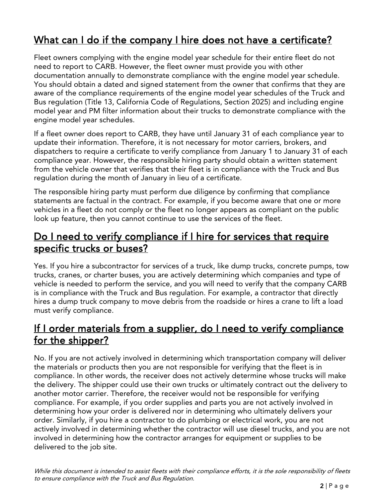# What can I do if the company I hire does not have a certificate?

Fleet owners complying with the engine model year schedule for their entire fleet do not need to report to CARB. However, the fleet owner must provide you with other documentation annually to demonstrate compliance with the engine model year schedule. You should obtain a dated and signed statement from the owner that confirms that they are aware of the compliance requirements of the engine model year schedules of the Truck and Bus regulation (Title 13, California Code of Regulations, Section 2025) and including engine model year and PM filter information about their trucks to demonstrate compliance with the engine model year schedules.

If a fleet owner does report to CARB, they have until January 31 of each compliance year to update their information. Therefore, it is not necessary for motor carriers, brokers, and dispatchers to require a certificate to verify compliance from January 1 to January 31 of each compliance year. However, the responsible hiring party should obtain a written statement from the vehicle owner that verifies that their fleet is in compliance with the Truck and Bus regulation during the month of January in lieu of a certificate.

The responsible hiring party must perform due diligence by confirming that compliance statements are factual in the contract. For example, if you become aware that one or more vehicles in a fleet do not comply or the fleet no longer appears as compliant on the public look up feature, then you cannot continue to use the services of the fleet.

## Do I need to verify compliance if I hire for services that require specific trucks or buses?

Yes. If you hire a subcontractor for services of a truck, like dump trucks, concrete pumps, tow trucks, cranes, or charter buses, you are actively determining which companies and type of vehicle is needed to perform the service, and you will need to verify that the company CARB is in compliance with the Truck and Bus regulation. For example, a contractor that directly hires a dump truck company to move debris from the roadside or hires a crane to lift a load must verify compliance.

## If I order materials from a supplier, do I need to verify compliance for the shipper?

No. If you are not actively involved in determining which transportation company will deliver the materials or products then you are not responsible for verifying that the fleet is in compliance. In other words, the receiver does not actively determine whose trucks will make the delivery. The shipper could use their own trucks or ultimately contract out the delivery to another motor carrier. Therefore, the receiver would not be responsible for verifying compliance. For example, if you order supplies and parts you are not actively involved in determining how your order is delivered nor in determining who ultimately delivers your order. Similarly, if you hire a contractor to do plumbing or electrical work, you are not actively involved in determining whether the contractor will use diesel trucks, and you are not involved in determining how the contractor arranges for equipment or supplies to be delivered to the job site.

While this document is intended to assist fleets with their compliance efforts, it is the sole responsibility of fleets to ensure compliance with the Truck and Bus Regulation.